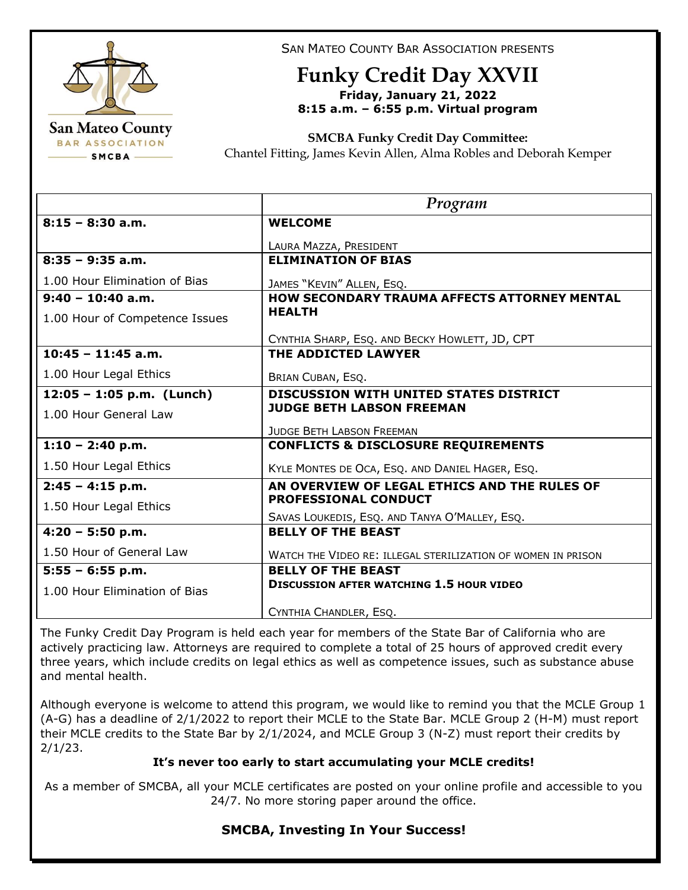

SAN MATEO COUNTY BAR ASSOCIATION PRESENTS

## **Funky Credit Day XXVII Friday, January 21, 2022 8:15 a.m. – 6:55 p.m. Virtual program**

**SMCBA Funky Credit Day Committee:** 

Chantel Fitting, James Kevin Allen, Alma Robles and Deborah Kemper

|                                | Program                                                      |
|--------------------------------|--------------------------------------------------------------|
| $8:15 - 8:30$ a.m.             | <b>WELCOME</b>                                               |
|                                | LAURA MAZZA, PRESIDENT                                       |
| $8:35 - 9:35$ a.m.             | <b>ELIMINATION OF BIAS</b>                                   |
| 1.00 Hour Elimination of Bias  | JAMES "KEVIN" ALLEN, ESQ.                                    |
| $9:40 - 10:40$ a.m.            | <b>HOW SECONDARY TRAUMA AFFECTS ATTORNEY MENTAL</b>          |
| 1.00 Hour of Competence Issues | <b>HEALTH</b>                                                |
|                                | CYNTHIA SHARP, ESQ. AND BECKY HOWLETT, JD, CPT               |
| $10:45 - 11:45$ a.m.           | THE ADDICTED LAWYER                                          |
| 1.00 Hour Legal Ethics         | BRIAN CUBAN, ESQ.                                            |
| $12:05 - 1:05$ p.m. (Lunch)    | <b>DISCUSSION WITH UNITED STATES DISTRICT</b>                |
| 1.00 Hour General Law          | <b>JUDGE BETH LABSON FREEMAN</b>                             |
|                                | <b>JUDGE BETH LABSON FREEMAN</b>                             |
| $1:10 - 2:40$ p.m.             | <b>CONFLICTS &amp; DISCLOSURE REQUIREMENTS</b>               |
| 1.50 Hour Legal Ethics         | KYLE MONTES DE OCA, ESQ. AND DANIEL HAGER, ESQ.              |
| $2:45 - 4:15$ p.m.             | AN OVERVIEW OF LEGAL ETHICS AND THE RULES OF                 |
| 1.50 Hour Legal Ethics         | <b>PROFESSIONAL CONDUCT</b>                                  |
|                                | SAVAS LOUKEDIS, ESQ. AND TANYA O'MALLEY, ESQ.                |
| $4:20 - 5:50 p.m.$             | <b>BELLY OF THE BEAST</b>                                    |
| 1.50 Hour of General Law       | WATCH THE VIDEO RE: ILLEGAL STERILIZATION OF WOMEN IN PRISON |
| $5:55 - 6:55 p.m.$             | <b>BELLY OF THE BEAST</b>                                    |
| 1.00 Hour Elimination of Bias  | <b>DISCUSSION AFTER WATCHING 1.5 HOUR VIDEO</b>              |
|                                | CYNTHIA CHANDLER, ESQ.                                       |

The Funky Credit Day Program is held each year for members of the State Bar of California who are actively practicing law. Attorneys are required to complete a total of 25 hours of approved credit every three years, which include credits on legal ethics as well as competence issues, such as substance abuse and mental health.

Although everyone is welcome to attend this program, we would like to remind you that the MCLE Group 1 (A-G) has a deadline of 2/1/2022 to report their MCLE to the State Bar. MCLE Group 2 (H-M) must report their MCLE credits to the State Bar by 2/1/2024, and MCLE Group 3 (N-Z) must report their credits by 2/1/23.

## **It's never too early to start accumulating your MCLE credits!**

As a member of SMCBA, all your MCLE certificates are posted on your online profile and accessible to you 24/7. No more storing paper around the office.

## **SMCBA, Investing In Your Success!**